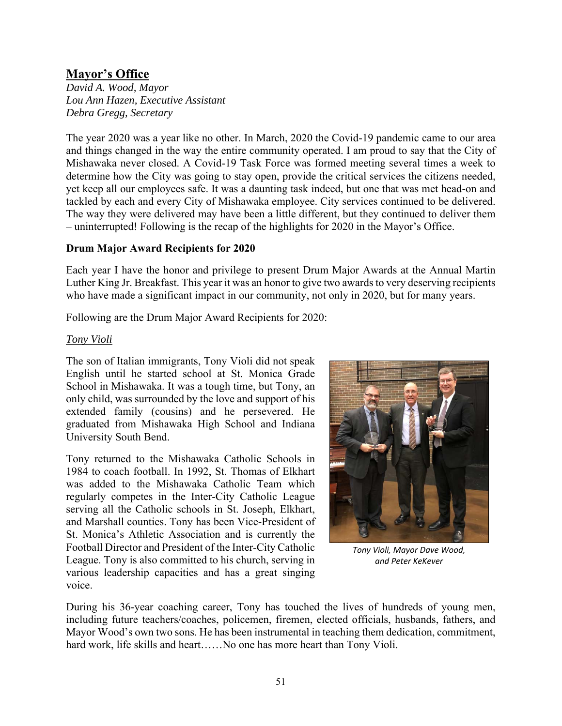# **Mayor's Office**

*David A. Wood, Mayor Lou Ann Hazen, Executive Assistant Debra Gregg, Secretary* 

The year 2020 was a year like no other. In March, 2020 the Covid-19 pandemic came to our area and things changed in the way the entire community operated. I am proud to say that the City of Mishawaka never closed. A Covid-19 Task Force was formed meeting several times a week to determine how the City was going to stay open, provide the critical services the citizens needed, yet keep all our employees safe. It was a daunting task indeed, but one that was met head-on and tackled by each and every City of Mishawaka employee. City services continued to be delivered. The way they were delivered may have been a little different, but they continued to deliver them – uninterrupted! Following is the recap of the highlights for 2020 in the Mayor's Office.

#### **Drum Major Award Recipients for 2020**

Each year I have the honor and privilege to present Drum Major Awards at the Annual Martin Luther King Jr. Breakfast. This year it was an honor to give two awards to very deserving recipients who have made a significant impact in our community, not only in 2020, but for many years.

Following are the Drum Major Award Recipients for 2020:

#### *Tony Violi*

The son of Italian immigrants, Tony Violi did not speak English until he started school at St. Monica Grade School in Mishawaka. It was a tough time, but Tony, an only child, was surrounded by the love and support of his extended family (cousins) and he persevered. He graduated from Mishawaka High School and Indiana University South Bend.

Tony returned to the Mishawaka Catholic Schools in 1984 to coach football. In 1992, St. Thomas of Elkhart was added to the Mishawaka Catholic Team which regularly competes in the Inter-City Catholic League serving all the Catholic schools in St. Joseph, Elkhart, and Marshall counties. Tony has been Vice-President of St. Monica's Athletic Association and is currently the Football Director and President of the Inter-City Catholic League. Tony is also committed to his church, serving in various leadership capacities and has a great singing voice.



*Tony Violi, Mayor Dave Wood, and Peter KeKever* 

During his 36-year coaching career, Tony has touched the lives of hundreds of young men, including future teachers/coaches, policemen, firemen, elected officials, husbands, fathers, and Mayor Wood's own two sons. He has been instrumental in teaching them dedication, commitment, hard work, life skills and heart......No one has more heart than Tony Violi.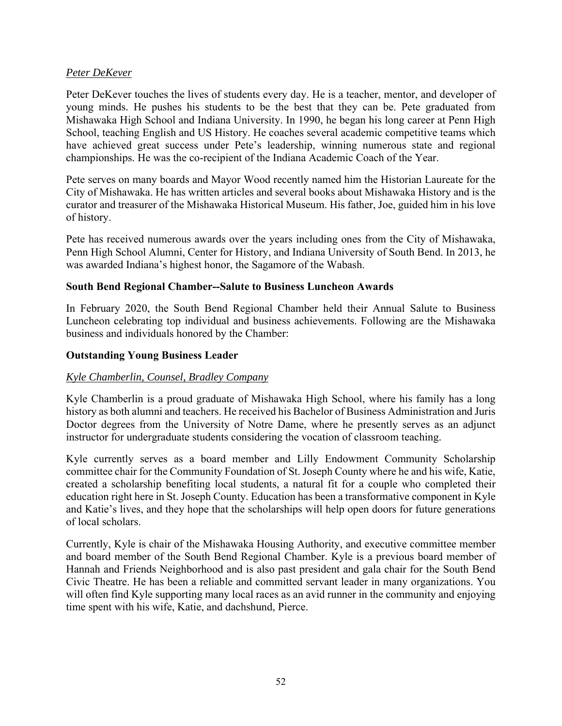### *Peter DeKever*

Peter DeKever touches the lives of students every day. He is a teacher, mentor, and developer of young minds. He pushes his students to be the best that they can be. Pete graduated from Mishawaka High School and Indiana University. In 1990, he began his long career at Penn High School, teaching English and US History. He coaches several academic competitive teams which have achieved great success under Pete's leadership, winning numerous state and regional championships. He was the co-recipient of the Indiana Academic Coach of the Year.

Pete serves on many boards and Mayor Wood recently named him the Historian Laureate for the City of Mishawaka. He has written articles and several books about Mishawaka History and is the curator and treasurer of the Mishawaka Historical Museum. His father, Joe, guided him in his love of history.

Pete has received numerous awards over the years including ones from the City of Mishawaka, Penn High School Alumni, Center for History, and Indiana University of South Bend. In 2013, he was awarded Indiana's highest honor, the Sagamore of the Wabash.

#### **South Bend Regional Chamber--Salute to Business Luncheon Awards**

In February 2020, the South Bend Regional Chamber held their Annual Salute to Business Luncheon celebrating top individual and business achievements. Following are the Mishawaka business and individuals honored by the Chamber:

#### **Outstanding Young Business Leader**

# *Kyle Chamberlin, Counsel, Bradley Company*

Kyle Chamberlin is a proud graduate of Mishawaka High School, where his family has a long history as both alumni and teachers. He received his Bachelor of Business Administration and Juris Doctor degrees from the University of Notre Dame, where he presently serves as an adjunct instructor for undergraduate students considering the vocation of classroom teaching.

Kyle currently serves as a board member and Lilly Endowment Community Scholarship committee chair for the Community Foundation of St. Joseph County where he and his wife, Katie, created a scholarship benefiting local students, a natural fit for a couple who completed their education right here in St. Joseph County. Education has been a transformative component in Kyle and Katie's lives, and they hope that the scholarships will help open doors for future generations of local scholars.

Currently, Kyle is chair of the Mishawaka Housing Authority, and executive committee member and board member of the South Bend Regional Chamber. Kyle is a previous board member of Hannah and Friends Neighborhood and is also past president and gala chair for the South Bend Civic Theatre. He has been a reliable and committed servant leader in many organizations. You will often find Kyle supporting many local races as an avid runner in the community and enjoying time spent with his wife, Katie, and dachshund, Pierce.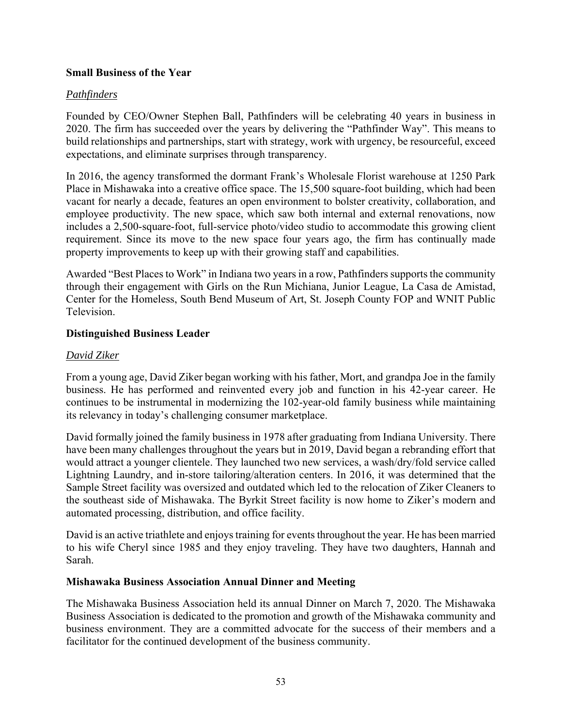## **Small Business of the Year**

#### *Pathfinders*

Founded by CEO/Owner Stephen Ball, Pathfinders will be celebrating 40 years in business in 2020. The firm has succeeded over the years by delivering the "Pathfinder Way". This means to build relationships and partnerships, start with strategy, work with urgency, be resourceful, exceed expectations, and eliminate surprises through transparency.

In 2016, the agency transformed the dormant Frank's Wholesale Florist warehouse at 1250 Park Place in Mishawaka into a creative office space. The 15,500 square-foot building, which had been vacant for nearly a decade, features an open environment to bolster creativity, collaboration, and employee productivity. The new space, which saw both internal and external renovations, now includes a 2,500-square-foot, full-service photo/video studio to accommodate this growing client requirement. Since its move to the new space four years ago, the firm has continually made property improvements to keep up with their growing staff and capabilities.

Awarded "Best Places to Work" in Indiana two years in a row, Pathfinders supports the community through their engagement with Girls on the Run Michiana, Junior League, La Casa de Amistad, Center for the Homeless, South Bend Museum of Art, St. Joseph County FOP and WNIT Public Television.

#### **Distinguished Business Leader**

#### *David Ziker*

From a young age, David Ziker began working with his father, Mort, and grandpa Joe in the family business. He has performed and reinvented every job and function in his 42-year career. He continues to be instrumental in modernizing the 102-year-old family business while maintaining its relevancy in today's challenging consumer marketplace.

David formally joined the family business in 1978 after graduating from Indiana University. There have been many challenges throughout the years but in 2019, David began a rebranding effort that would attract a younger clientele. They launched two new services, a wash/dry/fold service called Lightning Laundry, and in-store tailoring/alteration centers. In 2016, it was determined that the Sample Street facility was oversized and outdated which led to the relocation of Ziker Cleaners to the southeast side of Mishawaka. The Byrkit Street facility is now home to Ziker's modern and automated processing, distribution, and office facility.

David is an active triathlete and enjoys training for events throughout the year. He has been married to his wife Cheryl since 1985 and they enjoy traveling. They have two daughters, Hannah and Sarah.

#### **Mishawaka Business Association Annual Dinner and Meeting**

The Mishawaka Business Association held its annual Dinner on March 7, 2020. The Mishawaka Business Association is dedicated to the promotion and growth of the Mishawaka community and business environment. They are a committed advocate for the success of their members and a facilitator for the continued development of the business community.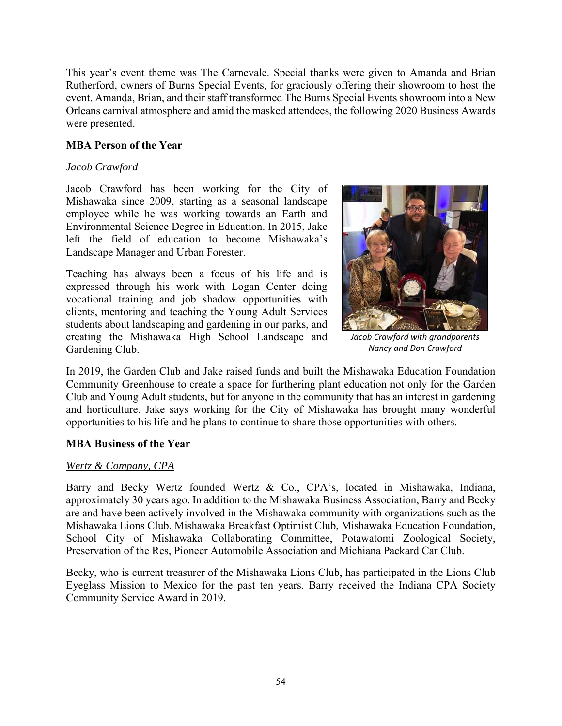This year's event theme was The Carnevale. Special thanks were given to Amanda and Brian Rutherford, owners of Burns Special Events, for graciously offering their showroom to host the event. Amanda, Brian, and their staff transformed The Burns Special Events showroom into a New Orleans carnival atmosphere and amid the masked attendees, the following 2020 Business Awards were presented.

### **MBA Person of the Year**

#### *Jacob Crawford*

Jacob Crawford has been working for the City of Mishawaka since 2009, starting as a seasonal landscape employee while he was working towards an Earth and Environmental Science Degree in Education. In 2015, Jake left the field of education to become Mishawaka's Landscape Manager and Urban Forester.

Teaching has always been a focus of his life and is expressed through his work with Logan Center doing vocational training and job shadow opportunities with clients, mentoring and teaching the Young Adult Services students about landscaping and gardening in our parks, and creating the Mishawaka High School Landscape and Gardening Club.



*Jacob Crawford with grandparents Nancy and Don Crawford* 

In 2019, the Garden Club and Jake raised funds and built the Mishawaka Education Foundation Community Greenhouse to create a space for furthering plant education not only for the Garden Club and Young Adult students, but for anyone in the community that has an interest in gardening and horticulture. Jake says working for the City of Mishawaka has brought many wonderful opportunities to his life and he plans to continue to share those opportunities with others.

#### **MBA Business of the Year**

#### *Wertz & Company, CPA*

Barry and Becky Wertz founded Wertz & Co., CPA's, located in Mishawaka, Indiana, approximately 30 years ago. In addition to the Mishawaka Business Association, Barry and Becky are and have been actively involved in the Mishawaka community with organizations such as the Mishawaka Lions Club, Mishawaka Breakfast Optimist Club, Mishawaka Education Foundation, School City of Mishawaka Collaborating Committee, Potawatomi Zoological Society, Preservation of the Res, Pioneer Automobile Association and Michiana Packard Car Club.

Becky, who is current treasurer of the Mishawaka Lions Club, has participated in the Lions Club Eyeglass Mission to Mexico for the past ten years. Barry received the Indiana CPA Society Community Service Award in 2019.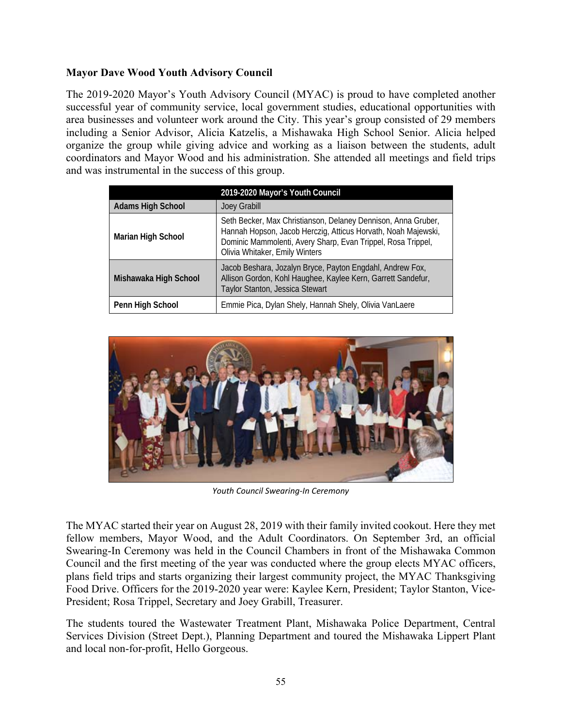# **Mayor Dave Wood Youth Advisory Council**

The 2019-2020 Mayor's Youth Advisory Council (MYAC) is proud to have completed another successful year of community service, local government studies, educational opportunities with area businesses and volunteer work around the City. This year's group consisted of 29 members including a Senior Advisor, Alicia Katzelis, a Mishawaka High School Senior. Alicia helped organize the group while giving advice and working as a liaison between the students, adult coordinators and Mayor Wood and his administration. She attended all meetings and field trips and was instrumental in the success of this group.

|                          | 2019-2020 Mayor's Youth Council                                                                                                                                                                                                  |
|--------------------------|----------------------------------------------------------------------------------------------------------------------------------------------------------------------------------------------------------------------------------|
| <b>Adams High School</b> | Joey Grabill                                                                                                                                                                                                                     |
| Marian High School       | Seth Becker, Max Christianson, Delaney Dennison, Anna Gruber,<br>Hannah Hopson, Jacob Herczig, Atticus Horvath, Noah Majewski,<br>Dominic Mammolenti, Avery Sharp, Evan Trippel, Rosa Trippel,<br>Olivia Whitaker, Emily Winters |
| Mishawaka High School    | Jacob Beshara, Jozalyn Bryce, Payton Engdahl, Andrew Fox,<br>Allison Gordon, Kohl Haughee, Kaylee Kern, Garrett Sandefur,<br>Taylor Stanton, Jessica Stewart                                                                     |
| Penn High School         | Emmie Pica, Dylan Shely, Hannah Shely, Olivia VanLaere                                                                                                                                                                           |



*Youth Council Swearing‐In Ceremony* 

The MYAC started their year on August 28, 2019 with their family invited cookout. Here they met fellow members, Mayor Wood, and the Adult Coordinators. On September 3rd, an official Swearing-In Ceremony was held in the Council Chambers in front of the Mishawaka Common Council and the first meeting of the year was conducted where the group elects MYAC officers, plans field trips and starts organizing their largest community project, the MYAC Thanksgiving Food Drive. Officers for the 2019-2020 year were: Kaylee Kern, President; Taylor Stanton, Vice-President; Rosa Trippel, Secretary and Joey Grabill, Treasurer.

The students toured the Wastewater Treatment Plant, Mishawaka Police Department, Central Services Division (Street Dept.), Planning Department and toured the Mishawaka Lippert Plant and local non-for-profit, Hello Gorgeous.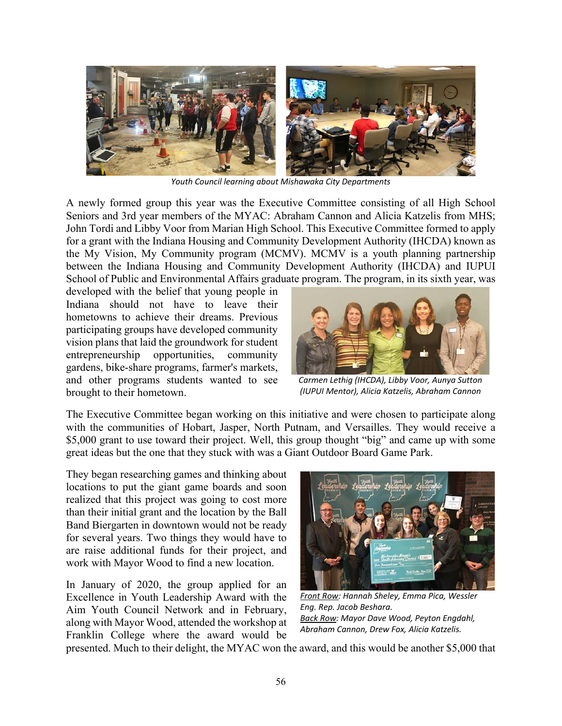

*Youth Council learning about Mishawaka City Departments* 

A newly formed group this year was the Executive Committee consisting of all High School Seniors and 3rd year members of the MYAC: Abraham Cannon and Alicia Katzelis from MHS; John Tordi and Libby Voor from Marian High School. This Executive Committee formed to apply for a grant with the Indiana Housing and Community Development Authority (IHCDA) known as the My Vision, My Community program (MCMV). MCMV is a youth planning partnership between the Indiana Housing and Community Development Authority (IHCDA) and IUPUI School of Public and Environmental Affairs graduate program. The program, in its sixth year, was

developed with the belief that young people in Indiana should not have to leave their hometowns to achieve their dreams. Previous participating groups have developed community vision plans that laid the groundwork for student entrepreneurship opportunities, community gardens, bike-share programs, farmer's markets, and other programs students wanted to see brought to their hometown.



*Carmen Lethig (IHCDA), Libby Voor, Aunya Sutton (IUPUI Mentor), Alicia Katzelis, Abraham Cannon* 

The Executive Committee began working on this initiative and were chosen to participate along with the communities of Hobart, Jasper, North Putnam, and Versailles. They would receive a \$5,000 grant to use toward their project. Well, this group thought "big" and came up with some great ideas but the one that they stuck with was a Giant Outdoor Board Game Park.

They began researching games and thinking about locations to put the giant game boards and soon realized that this project was going to cost more than their initial grant and the location by the Ball Band Biergarten in downtown would not be ready for several years. Two things they would have to are raise additional funds for their project, and work with Mayor Wood to find a new location.

In January of 2020, the group applied for an Excellence in Youth Leadership Award with the Aim Youth Council Network and in February, along with Mayor Wood, attended the workshop at Franklin College where the award would be



*Front Row: Hannah Sheley, Emma Pica, Wessler Eng. Rep. Jacob Beshara. Back Row: Mayor Dave Wood, Peyton Engdahl, Abraham Cannon, Drew Fox, Alicia Katzelis.* 

presented. Much to their delight, the MYAC won the award, and this would be another \$5,000 that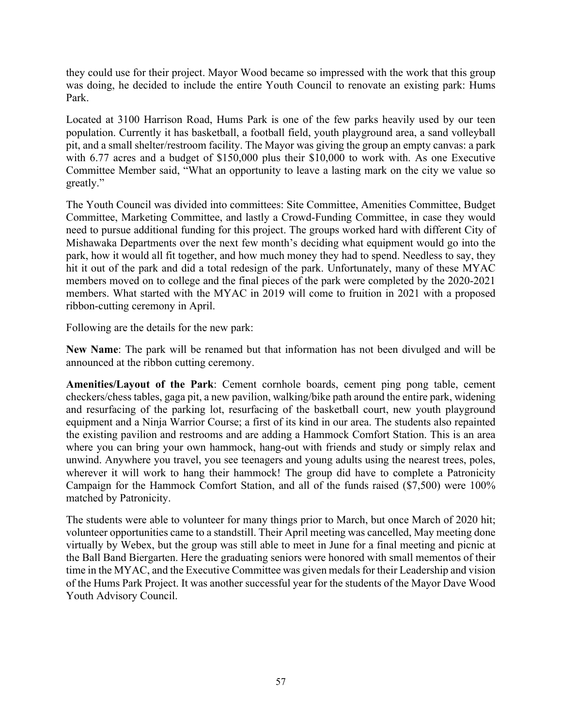they could use for their project. Mayor Wood became so impressed with the work that this group was doing, he decided to include the entire Youth Council to renovate an existing park: Hums Park.

Located at 3100 Harrison Road, Hums Park is one of the few parks heavily used by our teen population. Currently it has basketball, a football field, youth playground area, a sand volleyball pit, and a small shelter/restroom facility. The Mayor was giving the group an empty canvas: a park with 6.77 acres and a budget of \$150,000 plus their \$10,000 to work with. As one Executive Committee Member said, "What an opportunity to leave a lasting mark on the city we value so greatly."

The Youth Council was divided into committees: Site Committee, Amenities Committee, Budget Committee, Marketing Committee, and lastly a Crowd-Funding Committee, in case they would need to pursue additional funding for this project. The groups worked hard with different City of Mishawaka Departments over the next few month's deciding what equipment would go into the park, how it would all fit together, and how much money they had to spend. Needless to say, they hit it out of the park and did a total redesign of the park. Unfortunately, many of these MYAC members moved on to college and the final pieces of the park were completed by the 2020-2021 members. What started with the MYAC in 2019 will come to fruition in 2021 with a proposed ribbon-cutting ceremony in April.

Following are the details for the new park:

**New Name**: The park will be renamed but that information has not been divulged and will be announced at the ribbon cutting ceremony.

**Amenities/Layout of the Park**: Cement cornhole boards, cement ping pong table, cement checkers/chess tables, gaga pit, a new pavilion, walking/bike path around the entire park, widening and resurfacing of the parking lot, resurfacing of the basketball court, new youth playground equipment and a Ninja Warrior Course; a first of its kind in our area. The students also repainted the existing pavilion and restrooms and are adding a Hammock Comfort Station. This is an area where you can bring your own hammock, hang-out with friends and study or simply relax and unwind. Anywhere you travel, you see teenagers and young adults using the nearest trees, poles, wherever it will work to hang their hammock! The group did have to complete a Patronicity Campaign for the Hammock Comfort Station, and all of the funds raised (\$7,500) were 100% matched by Patronicity.

The students were able to volunteer for many things prior to March, but once March of 2020 hit; volunteer opportunities came to a standstill. Their April meeting was cancelled, May meeting done virtually by Webex, but the group was still able to meet in June for a final meeting and picnic at the Ball Band Biergarten. Here the graduating seniors were honored with small mementos of their time in the MYAC, and the Executive Committee was given medals for their Leadership and vision of the Hums Park Project. It was another successful year for the students of the Mayor Dave Wood Youth Advisory Council.